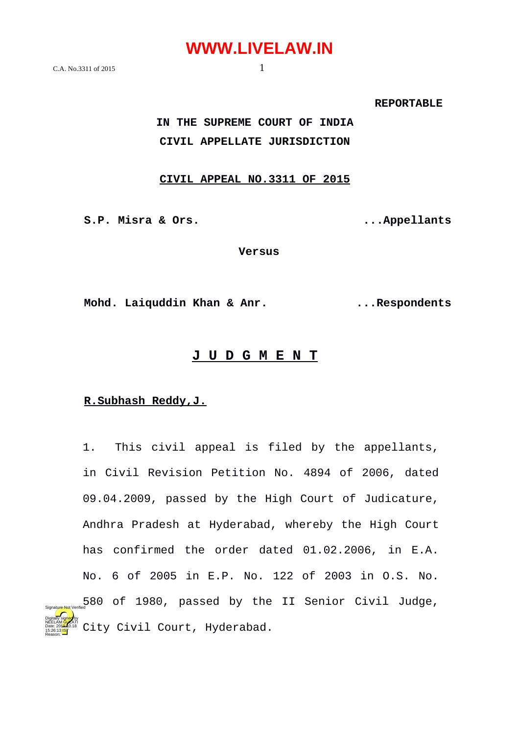$C.A.$  No.3311 of 2015 1

 **REPORTABLE** 

**IN THE SUPREME COURT OF INDIA CIVIL APPELLATE JURISDICTION**

#### **CIVIL APPEAL NO.3311 OF 2015**

**S.P. Misra & Ors. ...Appellants**

**Versus**

**Mohd. Laiquddin Khan & Anr. ...Respondents**

#### **J U D G M E N T**

#### **R.Subhash Reddy,J.**

15:26:13 IST Reason:

1. This civil appeal is filed by the appellants, in Civil Revision Petition No. 4894 of 2006, dated 09.04.2009, passed by the High Court of Judicature, Andhra Pradesh at Hyderabad, whereby the High Court has confirmed the order dated 01.02.2006, in E.A. No. 6 of 2005 in E.P. No. 122 of 2003 in O.S. No. 580 of 1980, passed by the II Senior Civil Judge, City Civil Court, Hyderabad. Digitally signed by NEELAM GULATI Date: 2010.18 Signature Not Verified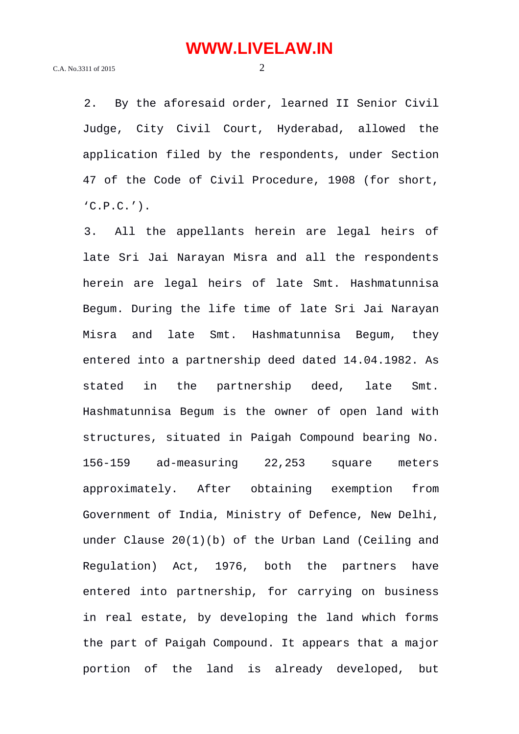2. By the aforesaid order, learned II Senior Civil Judge, City Civil Court, Hyderabad, allowed the application filed by the respondents, under Section 47 of the Code of Civil Procedure, 1908 (for short,  $'C.P.C.'$ ).

3. All the appellants herein are legal heirs of late Sri Jai Narayan Misra and all the respondents herein are legal heirs of late Smt. Hashmatunnisa Begum. During the life time of late Sri Jai Narayan Misra and late Smt. Hashmatunnisa Begum, they entered into a partnership deed dated 14.04.1982. As stated in the partnership deed, late Smt. Hashmatunnisa Begum is the owner of open land with structures, situated in Paigah Compound bearing No. 156-159 ad-measuring 22,253 square meters approximately. After obtaining exemption from Government of India, Ministry of Defence, New Delhi, under Clause 20(1)(b) of the Urban Land (Ceiling and Regulation) Act, 1976, both the partners have entered into partnership, for carrying on business in real estate, by developing the land which forms the part of Paigah Compound. It appears that a major portion of the land is already developed, but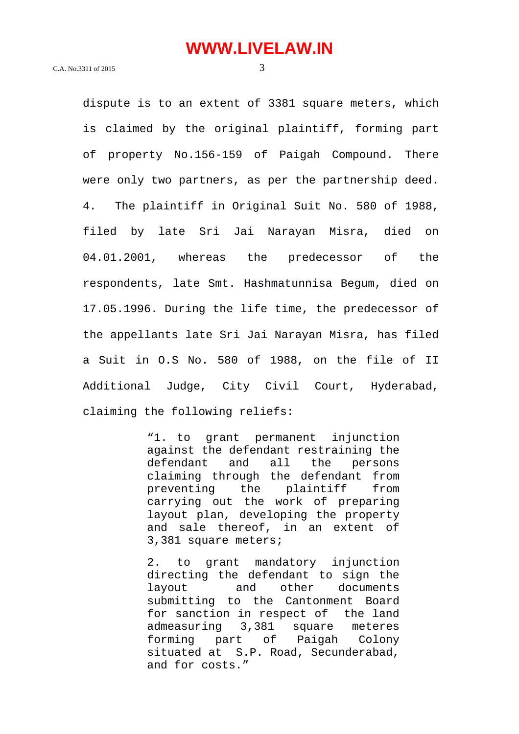dispute is to an extent of 3381 square meters, which is claimed by the original plaintiff, forming part of property No.156-159 of Paigah Compound. There were only two partners, as per the partnership deed. 4. The plaintiff in Original Suit No. 580 of 1988, filed by late Sri Jai Narayan Misra, died on 04.01.2001, whereas the predecessor of the respondents, late Smt. Hashmatunnisa Begum, died on 17.05.1996. During the life time, the predecessor of the appellants late Sri Jai Narayan Misra, has filed a Suit in O.S No. 580 of 1988, on the file of II Additional Judge, City Civil Court, Hyderabad, claiming the following reliefs:

> "1. to grant permanent injunction against the defendant restraining the defendant and all the persons claiming through the defendant from preventing the plaintiff from carrying out the work of preparing layout plan, developing the property and sale thereof, in an extent of 3,381 square meters;

> 2. to grant mandatory injunction directing the defendant to sign the layout and other documents submitting to the Cantonment Board for sanction in respect of the land admeasuring 3,381 square meteres forming part of Paigah Colony situated at S.P. Road, Secunderabad, and for costs."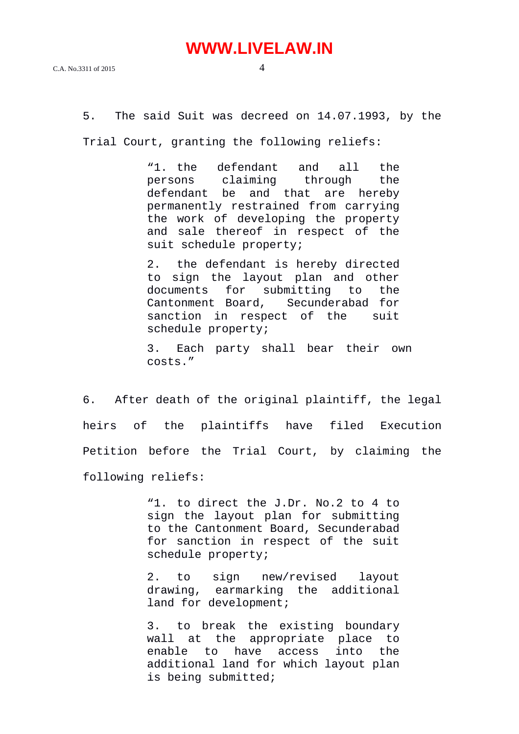5. The said Suit was decreed on 14.07.1993, by the

Trial Court, granting the following reliefs:

"1. the defendant and all the<br>persons claiming through the persons claiming through the defendant be and that are hereby permanently restrained from carrying the work of developing the property and sale thereof in respect of the suit schedule property;

2. the defendant is hereby directed to sign the layout plan and other documents for submitting to the Secunderabad for sanction in respect of the suit schedule property;

3. Each party shall bear their own costs."

6. After death of the original plaintiff, the legal heirs of the plaintiffs have filed Execution Petition before the Trial Court, by claiming the following reliefs:

> "1. to direct the J.Dr. No.2 to 4 to sign the layout plan for submitting to the Cantonment Board, Secunderabad for sanction in respect of the suit schedule property;

> 2. to sign new/revised layout drawing, earmarking the additional land for development;

> 3. to break the existing boundary wall at the appropriate place to enable to have access into the additional land for which layout plan is being submitted;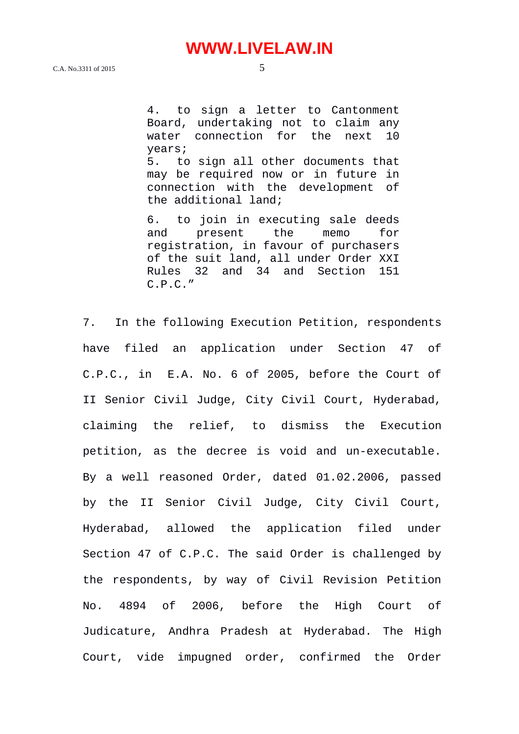4. to sign a letter to Cantonment Board, undertaking not to claim any water connection for the next 10 years; 5. to sign all other documents that may be required now or in future in connection with the development of the additional land;

6. to join in executing sale deeds and present the memo for registration, in favour of purchasers of the suit land, all under Order XXI Rules 32 and 34 and Section 151 C.P.C."

7. In the following Execution Petition, respondents have filed an application under Section 47 of C.P.C., in E.A. No. 6 of 2005, before the Court of II Senior Civil Judge, City Civil Court, Hyderabad, claiming the relief, to dismiss the Execution petition, as the decree is void and un-executable. By a well reasoned Order, dated 01.02.2006, passed by the II Senior Civil Judge, City Civil Court, Hyderabad, allowed the application filed under Section 47 of C.P.C. The said Order is challenged by the respondents, by way of Civil Revision Petition No. 4894 of 2006, before the High Court of Judicature, Andhra Pradesh at Hyderabad. The High Court, vide impugned order, confirmed the Order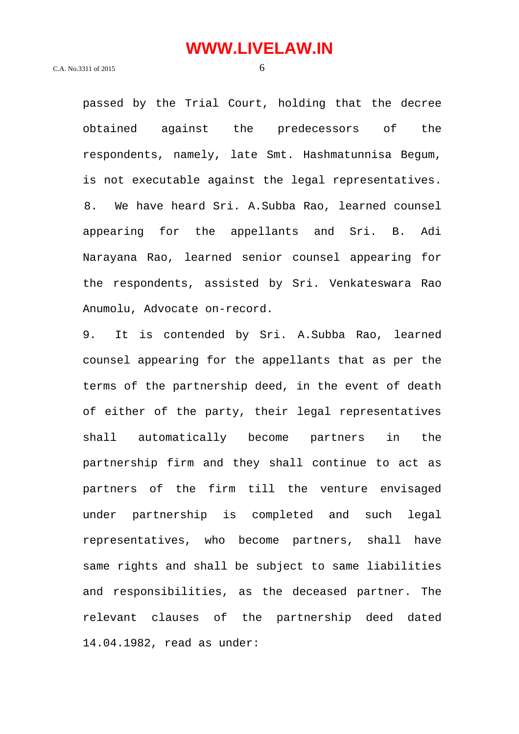passed by the Trial Court, holding that the decree obtained against the predecessors of the respondents, namely, late Smt. Hashmatunnisa Begum, is not executable against the legal representatives. 8. We have heard Sri. A.Subba Rao, learned counsel appearing for the appellants and Sri. B. Adi Narayana Rao, learned senior counsel appearing for the respondents, assisted by Sri. Venkateswara Rao Anumolu, Advocate on-record.

9. It is contended by Sri. A.Subba Rao, learned counsel appearing for the appellants that as per the terms of the partnership deed, in the event of death of either of the party, their legal representatives shall automatically become partners in the partnership firm and they shall continue to act as partners of the firm till the venture envisaged under partnership is completed and such legal representatives, who become partners, shall have same rights and shall be subject to same liabilities and responsibilities, as the deceased partner. The relevant clauses of the partnership deed dated 14.04.1982, read as under: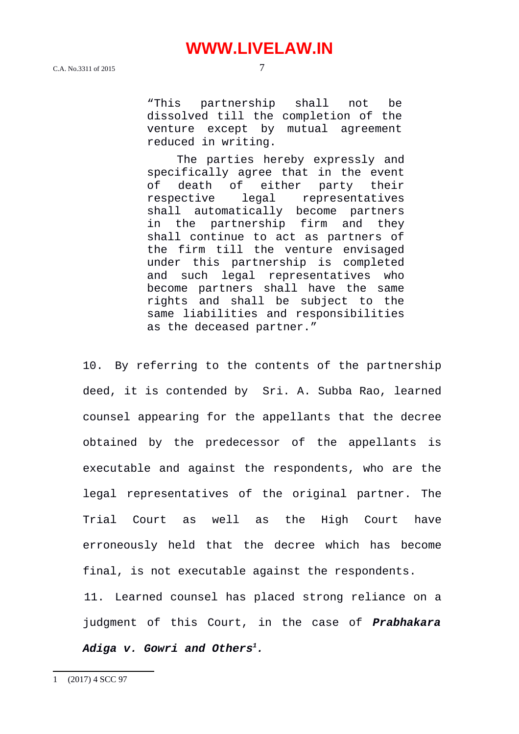C.A. No.3311 of 2015 7

"This partnership shall not be dissolved till the completion of the venture except by mutual agreement reduced in writing.

The parties hereby expressly and specifically agree that in the event of death of either party their respective legal representatives shall automatically become partners in the partnership firm and they shall continue to act as partners of the firm till the venture envisaged under this partnership is completed and such legal representatives who become partners shall have the same rights and shall be subject to the same liabilities and responsibilities as the deceased partner."

10. By referring to the contents of the partnership deed, it is contended by Sri. A. Subba Rao, learned counsel appearing for the appellants that the decree obtained by the predecessor of the appellants is executable and against the respondents, who are the legal representatives of the original partner. The Trial Court as well as the High Court have erroneously held that the decree which has become final, is not executable against the respondents.

<span id="page-6-0"></span>11. Learned counsel has placed strong reliance on a judgment of this Court, in the case of *Prabhakara Adiga v. Gowri and Others[1](#page-6-0).*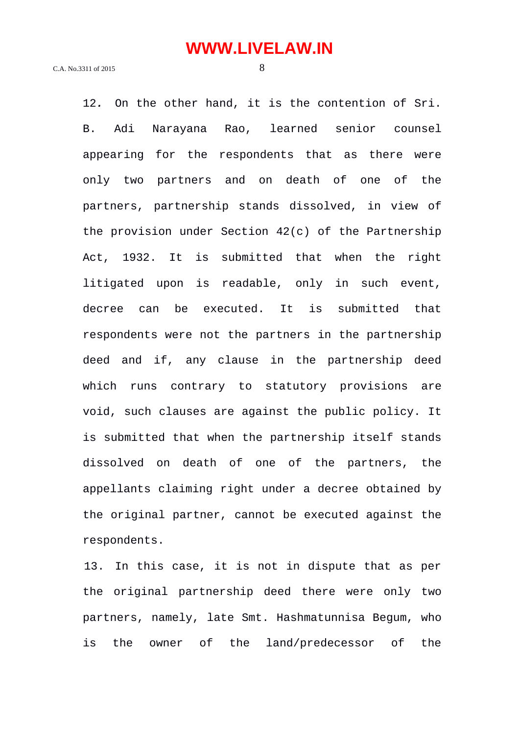12*.* On the other hand, it is the contention of Sri. B. Adi Narayana Rao, learned senior counsel appearing for the respondents that as there were only two partners and on death of one of the partners, partnership stands dissolved, in view of the provision under Section 42(c) of the Partnership Act, 1932. It is submitted that when the right litigated upon is readable, only in such event, decree can be executed. It is submitted that respondents were not the partners in the partnership deed and if, any clause in the partnership deed which runs contrary to statutory provisions are void, such clauses are against the public policy. It is submitted that when the partnership itself stands dissolved on death of one of the partners, the appellants claiming right under a decree obtained by the original partner, cannot be executed against the respondents.

13. In this case, it is not in dispute that as per the original partnership deed there were only two partners, namely, late Smt. Hashmatunnisa Begum, who is the owner of the land/predecessor of the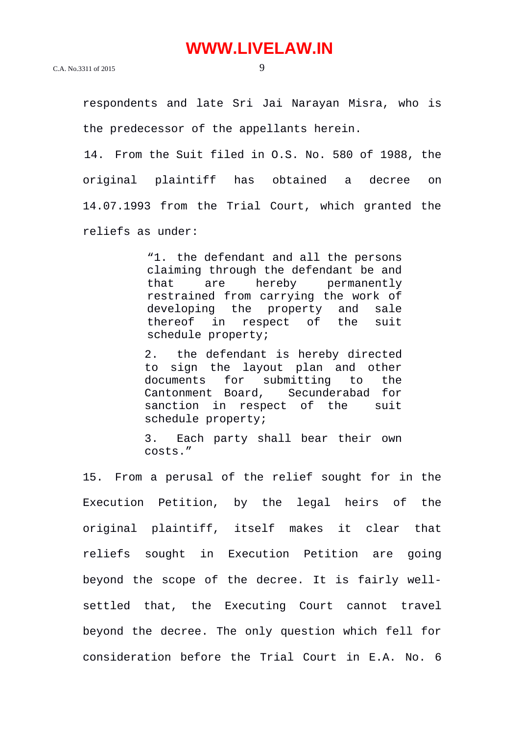respondents and late Sri Jai Narayan Misra, who is the predecessor of the appellants herein.

14. From the Suit filed in O.S. No. 580 of 1988, the original plaintiff has obtained a decree on 14.07.1993 from the Trial Court, which granted the reliefs as under:

> "1. the defendant and all the persons claiming through the defendant be and that are hereby permanently restrained from carrying the work of<br>developing the property and sale developing the property and sale thereof in respect of the suit schedule property;

> 2. the defendant is hereby directed to sign the layout plan and other documents for submitting to the Cantonment Board, Secunderabad for sanction in respect of the suit schedule property;

> 3. Each party shall bear their own costs."

15. From a perusal of the relief sought for in the Execution Petition, by the legal heirs of the original plaintiff, itself makes it clear that reliefs sought in Execution Petition are going beyond the scope of the decree. It is fairly wellsettled that, the Executing Court cannot travel beyond the decree. The only question which fell for consideration before the Trial Court in E.A. No. 6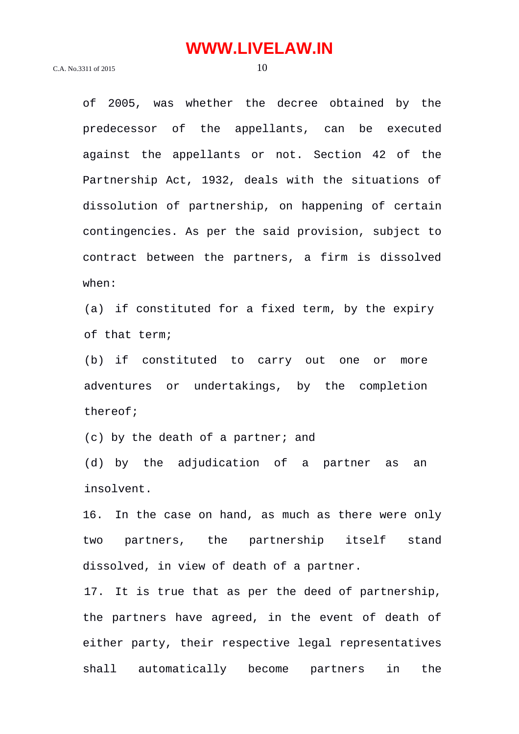of 2005, was whether the decree obtained by the predecessor of the appellants, can be executed against the appellants or not. Section 42 of the Partnership Act, 1932, deals with the situations of dissolution of partnership, on happening of certain contingencies. As per the said provision, subject to contract between the partners, a firm is dissolved when:

(a) if constituted for a fixed term, by the expiry of that term;

(b) if constituted to carry out one or more adventures or undertakings, by the completion thereof;

(c) by the death of a partner; and

(d) by the adjudication of a partner as an insolvent.

16. In the case on hand, as much as there were only two partners, the partnership itself stand dissolved, in view of death of a partner.

17. It is true that as per the deed of partnership, the partners have agreed, in the event of death of either party, their respective legal representatives shall automatically become partners in the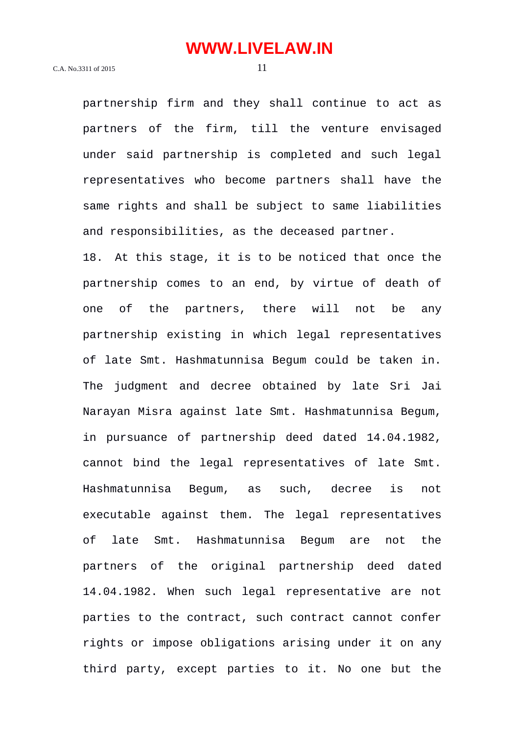partnership firm and they shall continue to act as partners of the firm, till the venture envisaged under said partnership is completed and such legal representatives who become partners shall have the same rights and shall be subject to same liabilities and responsibilities, as the deceased partner. 18. At this stage, it is to be noticed that once the partnership comes to an end, by virtue of death of one of the partners, there will not be any partnership existing in which legal representatives of late Smt. Hashmatunnisa Begum could be taken in. The judgment and decree obtained by late Sri Jai Narayan Misra against late Smt. Hashmatunnisa Begum, in pursuance of partnership deed dated 14.04.1982, cannot bind the legal representatives of late Smt. Hashmatunnisa Begum, as such, decree is not executable against them. The legal representatives of late Smt. Hashmatunnisa Begum are not the partners of the original partnership deed dated 14.04.1982. When such legal representative are not parties to the contract, such contract cannot confer rights or impose obligations arising under it on any third party, except parties to it. No one but the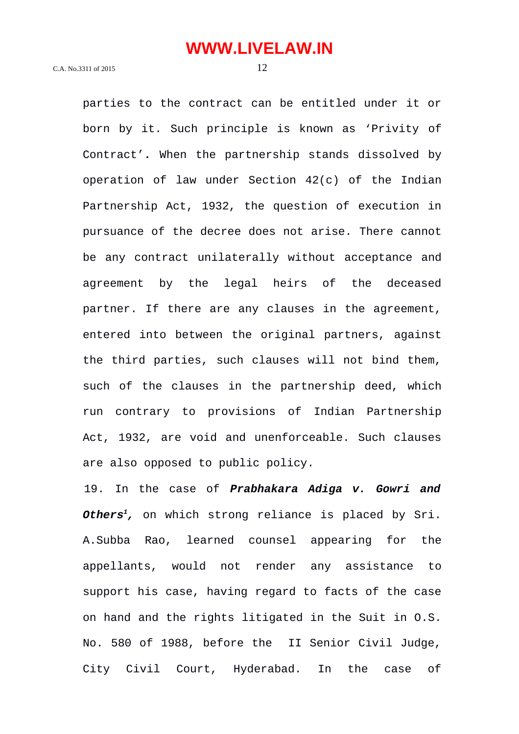parties to the contract can be entitled under it or born by it. Such principle is known as 'Privity of Contract'**.** When the partnership stands dissolved by operation of law under Section 42(c) of the Indian Partnership Act, 1932, the question of execution in pursuance of the decree does not arise. There cannot be any contract unilaterally without acceptance and agreement by the legal heirs of the deceased partner. If there are any clauses in the agreement, entered into between the original partners, against the third parties, such clauses will not bind them, such of the clauses in the partnership deed, which run contrary to provisions of Indian Partnership Act, 1932, are void and unenforceable. Such clauses are also opposed to public policy.

19. In the case of *Prabhakara Adiga v. Gowri and Others<sup>1</sup>,* on which strong reliance is placed by Sri. A.Subba Rao, learned counsel appearing for the appellants, would not render any assistance to support his case, having regard to facts of the case on hand and the rights litigated in the Suit in O.S. No. 580 of 1988, before the II Senior Civil Judge, City Civil Court, Hyderabad. In the case of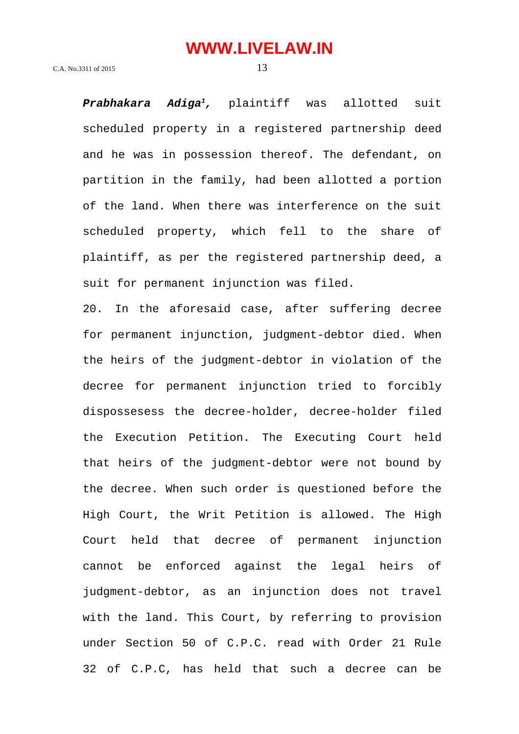*Prabhakara Adiga<sup>1</sup>,* plaintiff was allotted suit scheduled property in a registered partnership deed and he was in possession thereof. The defendant, on partition in the family, had been allotted a portion of the land. When there was interference on the suit scheduled property, which fell to the share of plaintiff, as per the registered partnership deed, a suit for permanent injunction was filed.

20. In the aforesaid case, after suffering decree for permanent injunction, judgment-debtor died. When the heirs of the judgment-debtor in violation of the decree for permanent injunction tried to forcibly dispossesess the decree-holder, decree-holder filed the Execution Petition. The Executing Court held that heirs of the judgment-debtor were not bound by the decree. When such order is questioned before the High Court, the Writ Petition is allowed. The High Court held that decree of permanent injunction cannot be enforced against the legal heirs of judgment-debtor, as an injunction does not travel with the land. This Court, by referring to provision under Section 50 of C.P.C. read with Order 21 Rule 32 of C.P.C, has held that such a decree can be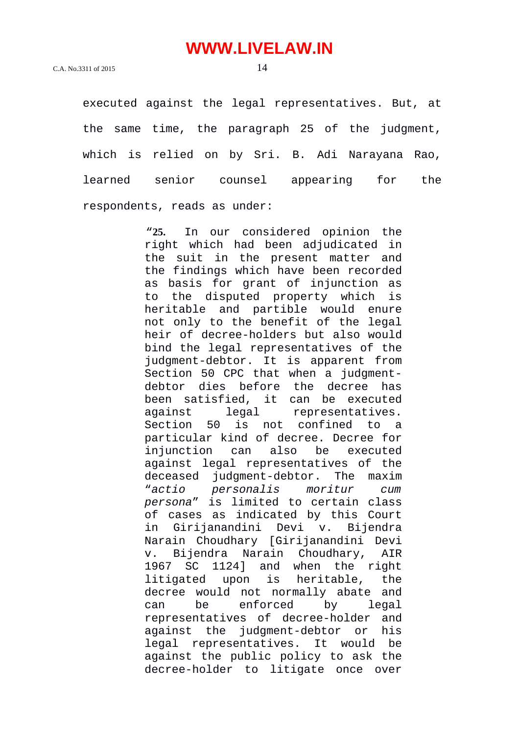executed against the legal representatives. But, at the same time, the paragraph 25 of the judgment, which is relied on by Sri. B. Adi Narayana Rao,

learned senior counsel appearing for the

respondents, reads as under:

"**25.** In our considered opinion the right which had been adjudicated in the suit in the present matter and the findings which have been recorded as basis for grant of injunction as to the disputed property which is heritable and partible would enure not only to the benefit of the legal heir of decree-holders but also would bind the legal representatives of the judgment-debtor. It is apparent from Section 50 CPC that when a judgmentdebtor dies before the decree has been satisfied, it can be executed against legal representatives. Section 50 is not confined to a particular kind of decree. Decree for injunction can also be executed against legal representatives of the deceased judgment-debtor. The maxim "*actio personalis moritur cum persona*" is limited to certain class of cases as indicated by this Court in Girijanandini Devi v. Bijendra Narain Choudhary [Girijanandini Devi v. Bijendra Narain Choudhary, AIR 1967 SC 1124] and when the right litigated upon is heritable, the decree would not normally abate and can be enforced by legal representatives of decree-holder and against the judgment-debtor or his legal representatives. It would be against the public policy to ask the decree-holder to litigate once over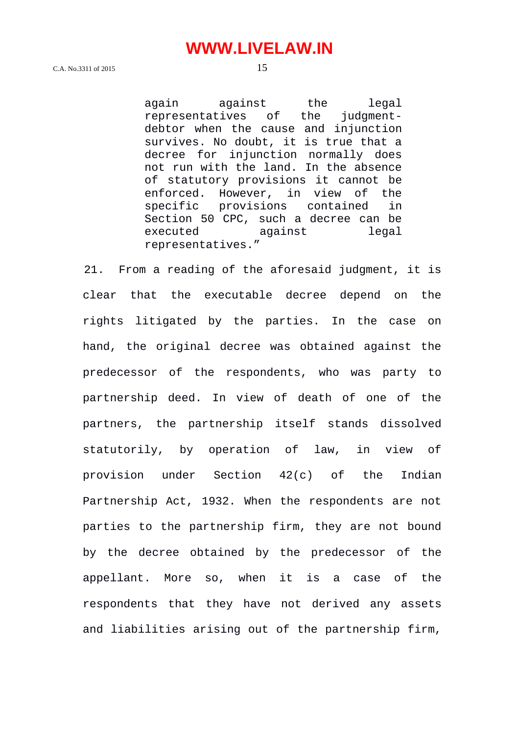again against the legal representatives of the judgmentdebtor when the cause and injunction survives. No doubt, it is true that a decree for injunction normally does not run with the land. In the absence of statutory provisions it cannot be enforced. However, in view of the specific provisions contained in Section 50 CPC, such a decree can be executed against legal representatives."

21. From a reading of the aforesaid judgment, it is clear that the executable decree depend on the rights litigated by the parties. In the case on hand, the original decree was obtained against the predecessor of the respondents, who was party to partnership deed. In view of death of one of the partners, the partnership itself stands dissolved statutorily, by operation of law, in view of provision under Section 42(c) of the Indian Partnership Act, 1932. When the respondents are not parties to the partnership firm, they are not bound by the decree obtained by the predecessor of the appellant. More so, when it is a case of the respondents that they have not derived any assets and liabilities arising out of the partnership firm,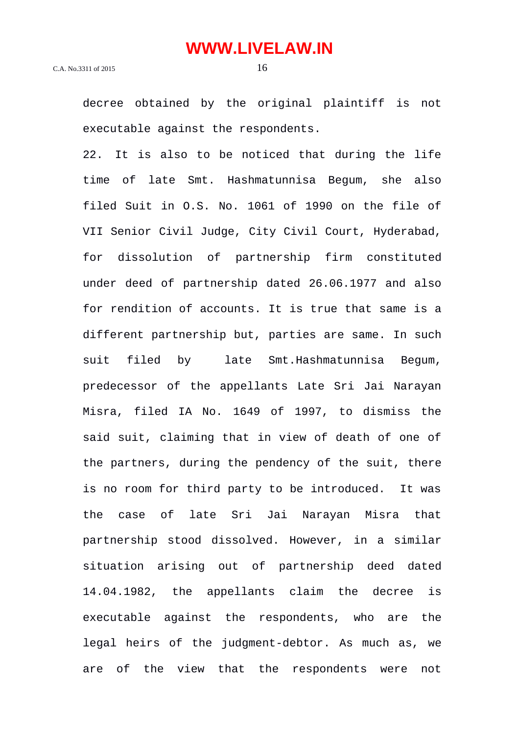decree obtained by the original plaintiff is not executable against the respondents.

22. It is also to be noticed that during the life time of late Smt. Hashmatunnisa Begum, she also filed Suit in O.S. No. 1061 of 1990 on the file of VII Senior Civil Judge, City Civil Court, Hyderabad, for dissolution of partnership firm constituted under deed of partnership dated 26.06.1977 and also for rendition of accounts. It is true that same is a different partnership but, parties are same. In such suit filed by late Smt.Hashmatunnisa Begum, predecessor of the appellants Late Sri Jai Narayan Misra, filed IA No. 1649 of 1997, to dismiss the said suit, claiming that in view of death of one of the partners, during the pendency of the suit, there is no room for third party to be introduced. It was the case of late Sri Jai Narayan Misra that partnership stood dissolved. However, in a similar situation arising out of partnership deed dated 14.04.1982, the appellants claim the decree is executable against the respondents, who are the legal heirs of the judgment-debtor. As much as, we are of the view that the respondents were not